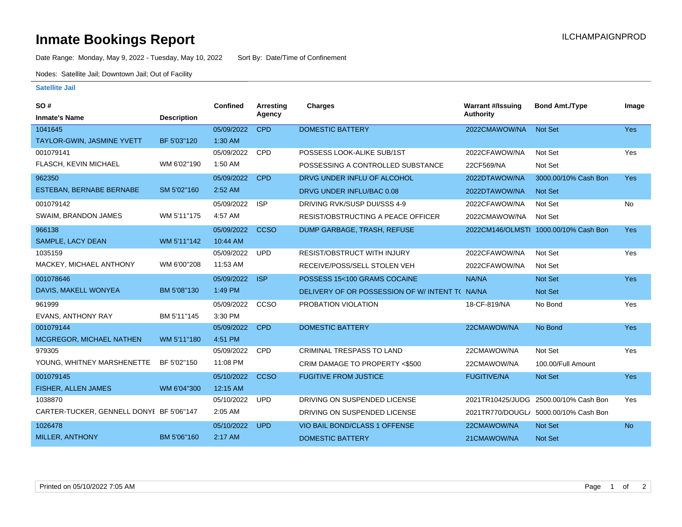## **Inmate Bookings Report International Contract Contract Contract Contract Contract Contract Contract Contract Contract Contract Contract Contract Contract Contract Contract Contract Contract Contract Contract Contract Co**

Date Range: Monday, May 9, 2022 - Tuesday, May 10, 2022 Sort By: Date/Time of Confinement

Nodes: Satellite Jail; Downtown Jail; Out of Facility

## **Satellite Jail**

| <b>SO#</b>                               |                    | <b>Confined</b> | <b>Arresting</b> | Charges                                        | <b>Warrant #/Issuing</b> | <b>Bond Amt./Type</b>                 | Image      |
|------------------------------------------|--------------------|-----------------|------------------|------------------------------------------------|--------------------------|---------------------------------------|------------|
| <b>Inmate's Name</b>                     | <b>Description</b> |                 | Agency           |                                                | <b>Authority</b>         |                                       |            |
| 1041645                                  |                    | 05/09/2022      | <b>CPD</b>       | <b>DOMESTIC BATTERY</b>                        | 2022CMAWOW/NA            | <b>Not Set</b>                        | <b>Yes</b> |
| <b>TAYLOR-GWIN, JASMINE YVETT</b>        | BF 5'03"120        | 1:30 AM         |                  |                                                |                          |                                       |            |
| 001079141                                |                    | 05/09/2022      | <b>CPD</b>       | POSSESS LOOK-ALIKE SUB/1ST                     | 2022CFAWOW/NA            | Not Set                               | Yes        |
| FLASCH, KEVIN MICHAEL                    | WM 6'02"190        | 1:50 AM         |                  | POSSESSING A CONTROLLED SUBSTANCE              | 22CF569/NA               | Not Set                               |            |
| 962350                                   |                    | 05/09/2022      | <b>CPD</b>       | DRVG UNDER INFLU OF ALCOHOL                    | 2022DTAWOW/NA            | 3000.00/10% Cash Bon                  | <b>Yes</b> |
| ESTEBAN, BERNABE BERNABE                 | SM 5'02"160        | 2:52 AM         |                  | DRVG UNDER INFLU/BAC 0.08                      | 2022DTAWOW/NA            | <b>Not Set</b>                        |            |
| 001079142                                |                    | 05/09/2022      | <b>ISP</b>       | DRIVING RVK/SUSP DUI/SSS 4-9                   | 2022CFAWOW/NA            | Not Set                               | <b>No</b>  |
| SWAIM, BRANDON JAMES                     | WM 5'11"175        | 4:57 AM         |                  | RESIST/OBSTRUCTING A PEACE OFFICER             | 2022CMAWOW/NA            | Not Set                               |            |
| 966138                                   |                    | 05/09/2022      | <b>CCSO</b>      | DUMP GARBAGE, TRASH, REFUSE                    |                          | 2022CM146/OLMSTI 1000.00/10% Cash Bon | <b>Yes</b> |
| SAMPLE, LACY DEAN                        | WM 5'11"142        | 10:44 AM        |                  |                                                |                          |                                       |            |
| 1035159                                  |                    | 05/09/2022      | <b>UPD</b>       | <b>RESIST/OBSTRUCT WITH INJURY</b>             | 2022CFAWOW/NA            | Not Set                               | Yes        |
| MACKEY, MICHAEL ANTHONY                  | WM 6'00"208        | 11:53 AM        |                  | RECEIVE/POSS/SELL STOLEN VEH                   | 2022CFAWOW/NA            | Not Set                               |            |
| 001078646                                |                    | 05/09/2022      | <b>ISP</b>       | POSSESS 15<100 GRAMS COCAINE                   | NA/NA                    | <b>Not Set</b>                        | Yes        |
| DAVIS, MAKELL WONYEA                     | BM 5'08"130        | 1:49 PM         |                  | DELIVERY OF OR POSSESSION OF W/INTENT T( NA/NA |                          | <b>Not Set</b>                        |            |
| 961999                                   |                    | 05/09/2022      | CCSO             | PROBATION VIOLATION                            | 18-CF-819/NA             | No Bond                               | Yes        |
| <b>EVANS, ANTHONY RAY</b>                | BM 5'11"145        | 3:30 PM         |                  |                                                |                          |                                       |            |
| 001079144                                |                    | 05/09/2022      | <b>CPD</b>       | <b>DOMESTIC BATTERY</b>                        | 22CMAWOW/NA              | No Bond                               | Yes        |
| <b>MCGREGOR, MICHAEL NATHEN</b>          | WM 5'11"180        | 4:51 PM         |                  |                                                |                          |                                       |            |
| 979305                                   |                    | 05/09/2022      | <b>CPD</b>       | <b>CRIMINAL TRESPASS TO LAND</b>               | 22CMAWOW/NA              | Not Set                               | Yes        |
| YOUNG, WHITNEY MARSHENETTE               | BF 5'02"150        | 11:08 PM        |                  | CRIM DAMAGE TO PROPERTY <\$500                 | 22CMAWOW/NA              | 100.00/Full Amount                    |            |
| 001079145                                |                    | 05/10/2022      | <b>CCSO</b>      | <b>FUGITIVE FROM JUSTICE</b>                   | <b>FUGITIVE/NA</b>       | <b>Not Set</b>                        | <b>Yes</b> |
| FISHER, ALLEN JAMES                      | WM 6'04"300        | 12:15 AM        |                  |                                                |                          |                                       |            |
| 1038870                                  |                    | 05/10/2022      | <b>UPD</b>       | DRIVING ON SUSPENDED LICENSE                   |                          | 2021TR10425/JUDG 2500.00/10% Cash Bon | Yes        |
| CARTER-TUCKER, GENNELL DONYI BF 5'06"147 |                    | 2:05 AM         |                  | DRIVING ON SUSPENDED LICENSE                   |                          | 2021TR770/DOUGL/ 5000.00/10% Cash Bon |            |
| 1026478                                  |                    | 05/10/2022      | <b>UPD</b>       | VIO BAIL BOND/CLASS 1 OFFENSE                  | 22CMAWOW/NA              | <b>Not Set</b>                        | <b>No</b>  |
| MILLER, ANTHONY                          | BM 5'06"160        | 2:17 AM         |                  | <b>DOMESTIC BATTERY</b>                        | 21CMAWOW/NA              | <b>Not Set</b>                        |            |